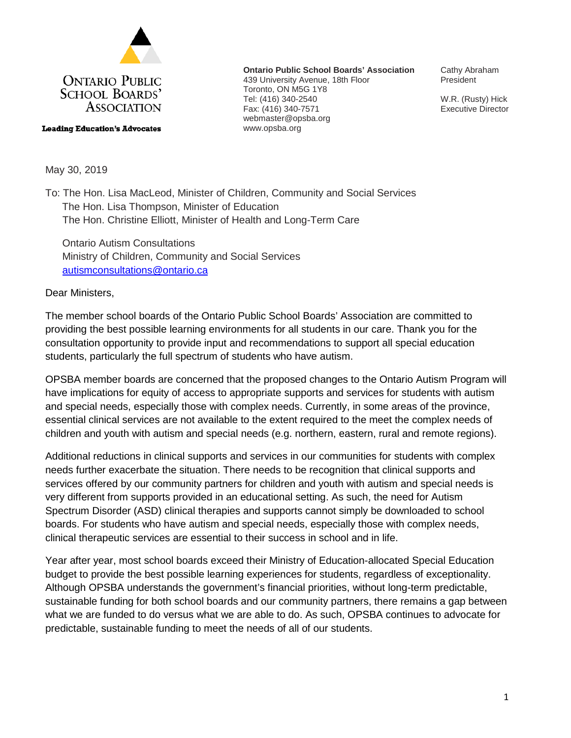

**Leading Education's Advocates** 

**Ontario Public School Boards' Association** 439 University Avenue, 18th Floor Toronto, ON M5G 1Y8 Tel: (416) 340-2540 Fax: (416) 340-7571 webmaster@opsba.org www.opsba.org

Cathy Abraham President

W.R. (Rusty) Hick Executive Director

May 30, 2019

To: The Hon. Lisa MacLeod, Minister of Children, Community and Social Services The Hon. Lisa Thompson, Minister of Education The Hon. Christine Elliott, Minister of Health and Long-Term Care

 Ontario Autism Consultations Ministry of Children, Community and Social Services [autismconsultations@ontario.ca](mailto:autismconsultations@ontario.ca)

Dear Ministers,

The member school boards of the Ontario Public School Boards' Association are committed to providing the best possible learning environments for all students in our care. Thank you for the consultation opportunity to provide input and recommendations to support all special education students, particularly the full spectrum of students who have autism.

OPSBA member boards are concerned that the proposed changes to the Ontario Autism Program will have implications for equity of access to appropriate supports and services for students with autism and special needs, especially those with complex needs. Currently, in some areas of the province, essential clinical services are not available to the extent required to the meet the complex needs of children and youth with autism and special needs (e.g. northern, eastern, rural and remote regions).

Additional reductions in clinical supports and services in our communities for students with complex needs further exacerbate the situation. There needs to be recognition that clinical supports and services offered by our community partners for children and youth with autism and special needs is very different from supports provided in an educational setting. As such, the need for Autism Spectrum Disorder (ASD) clinical therapies and supports cannot simply be downloaded to school boards. For students who have autism and special needs, especially those with complex needs, clinical therapeutic services are essential to their success in school and in life.

Year after year, most school boards exceed their Ministry of Education-allocated Special Education budget to provide the best possible learning experiences for students, regardless of exceptionality. Although OPSBA understands the government's financial priorities, without long-term predictable, sustainable funding for both school boards and our community partners, there remains a gap between what we are funded to do versus what we are able to do. As such, OPSBA continues to advocate for predictable, sustainable funding to meet the needs of all of our students.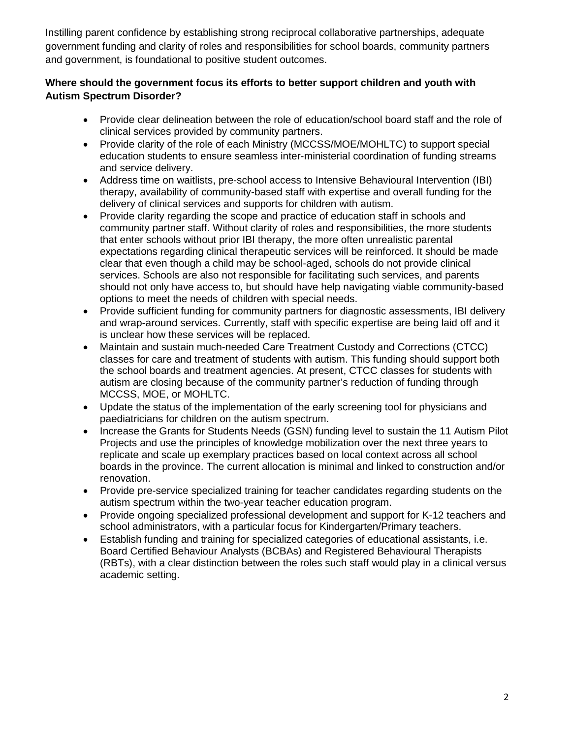Instilling parent confidence by establishing strong reciprocal collaborative partnerships, adequate government funding and clarity of roles and responsibilities for school boards, community partners and government, is foundational to positive student outcomes.

## **Where should the government focus its efforts to better support children and youth with Autism Spectrum Disorder?**

- Provide clear delineation between the role of education/school board staff and the role of clinical services provided by community partners.
- Provide clarity of the role of each Ministry (MCCSS/MOE/MOHLTC) to support special education students to ensure seamless inter-ministerial coordination of funding streams and service delivery.
- Address time on waitlists, pre-school access to Intensive Behavioural Intervention (IBI) therapy, availability of community-based staff with expertise and overall funding for the delivery of clinical services and supports for children with autism.
- Provide clarity regarding the scope and practice of education staff in schools and community partner staff. Without clarity of roles and responsibilities, the more students that enter schools without prior IBI therapy, the more often unrealistic parental expectations regarding clinical therapeutic services will be reinforced. It should be made clear that even though a child may be school-aged, schools do not provide clinical services. Schools are also not responsible for facilitating such services, and parents should not only have access to, but should have help navigating viable community-based options to meet the needs of children with special needs.
- Provide sufficient funding for community partners for diagnostic assessments, IBI delivery and wrap-around services. Currently, staff with specific expertise are being laid off and it is unclear how these services will be replaced.
- Maintain and sustain much-needed Care Treatment Custody and Corrections (CTCC) classes for care and treatment of students with autism. This funding should support both the school boards and treatment agencies. At present, CTCC classes for students with autism are closing because of the community partner's reduction of funding through MCCSS, MOE, or MOHLTC.
- Update the status of the implementation of the early screening tool for physicians and paediatricians for children on the autism spectrum.
- Increase the Grants for Students Needs (GSN) funding level to sustain the 11 Autism Pilot Projects and use the principles of knowledge mobilization over the next three years to replicate and scale up exemplary practices based on local context across all school boards in the province. The current allocation is minimal and linked to construction and/or renovation.
- Provide pre-service specialized training for teacher candidates regarding students on the autism spectrum within the two-year teacher education program.
- Provide ongoing specialized professional development and support for K-12 teachers and school administrators, with a particular focus for Kindergarten/Primary teachers.
- Establish funding and training for specialized categories of educational assistants, i.e. Board Certified Behaviour Analysts (BCBAs) and Registered Behavioural Therapists (RBTs), with a clear distinction between the roles such staff would play in a clinical versus academic setting.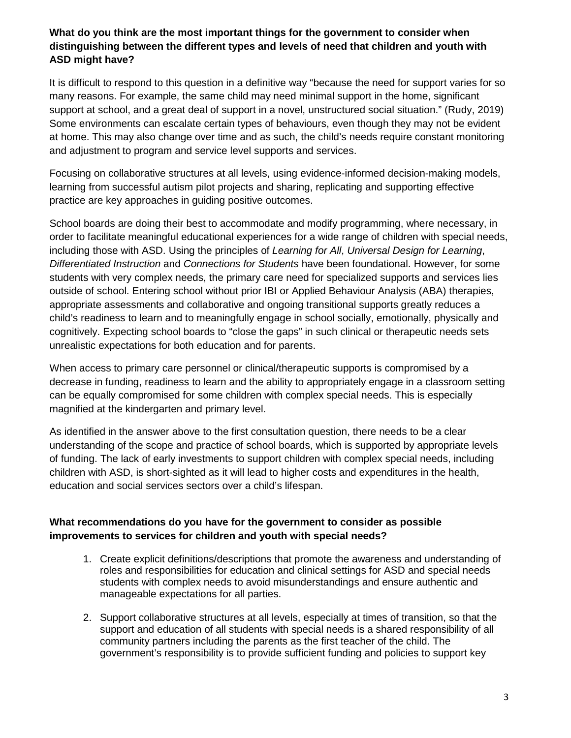## **What do you think are the most important things for the government to consider when distinguishing between the different types and levels of need that children and youth with ASD might have?**

It is difficult to respond to this question in a definitive way "because the need for support varies for so many reasons. For example, the same child may need minimal support in the home, significant support at school, and a great deal of support in a novel, unstructured social situation." (Rudy, 2019) Some environments can escalate certain types of behaviours, even though they may not be evident at home. This may also change over time and as such, the child's needs require constant monitoring and adjustment to program and service level supports and services.

Focusing on collaborative structures at all levels, using evidence-informed decision-making models, learning from successful autism pilot projects and sharing, replicating and supporting effective practice are key approaches in guiding positive outcomes.

School boards are doing their best to accommodate and modify programming, where necessary, in order to facilitate meaningful educational experiences for a wide range of children with special needs, including those with ASD. Using the principles of *Learning for All*, *Universal Design for Learning*, *Differentiated Instruction* and *Connections for Students* have been foundational. However, for some students with very complex needs, the primary care need for specialized supports and services lies outside of school. Entering school without prior IBI or Applied Behaviour Analysis (ABA) therapies, appropriate assessments and collaborative and ongoing transitional supports greatly reduces a child's readiness to learn and to meaningfully engage in school socially, emotionally, physically and cognitively. Expecting school boards to "close the gaps" in such clinical or therapeutic needs sets unrealistic expectations for both education and for parents.

When access to primary care personnel or clinical/therapeutic supports is compromised by a decrease in funding, readiness to learn and the ability to appropriately engage in a classroom setting can be equally compromised for some children with complex special needs. This is especially magnified at the kindergarten and primary level.

As identified in the answer above to the first consultation question, there needs to be a clear understanding of the scope and practice of school boards, which is supported by appropriate levels of funding. The lack of early investments to support children with complex special needs, including children with ASD, is short-sighted as it will lead to higher costs and expenditures in the health, education and social services sectors over a child's lifespan.

## **What recommendations do you have for the government to consider as possible improvements to services for children and youth with special needs?**

- 1. Create explicit definitions/descriptions that promote the awareness and understanding of roles and responsibilities for education and clinical settings for ASD and special needs students with complex needs to avoid misunderstandings and ensure authentic and manageable expectations for all parties.
- 2. Support collaborative structures at all levels, especially at times of transition, so that the support and education of all students with special needs is a shared responsibility of all community partners including the parents as the first teacher of the child. The government's responsibility is to provide sufficient funding and policies to support key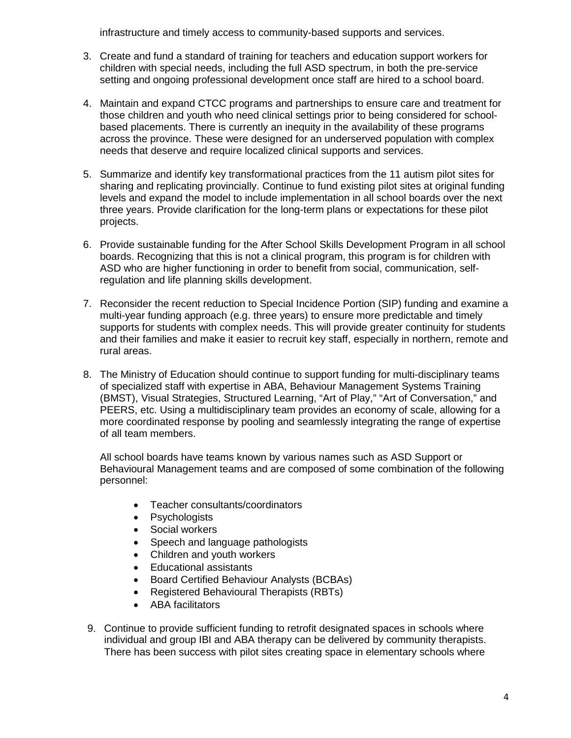infrastructure and timely access to community-based supports and services.

- 3. Create and fund a standard of training for teachers and education support workers for children with special needs, including the full ASD spectrum, in both the pre-service setting and ongoing professional development once staff are hired to a school board.
- 4. Maintain and expand CTCC programs and partnerships to ensure care and treatment for those children and youth who need clinical settings prior to being considered for schoolbased placements. There is currently an inequity in the availability of these programs across the province. These were designed for an underserved population with complex needs that deserve and require localized clinical supports and services.
- 5. Summarize and identify key transformational practices from the 11 autism pilot sites for sharing and replicating provincially. Continue to fund existing pilot sites at original funding levels and expand the model to include implementation in all school boards over the next three years. Provide clarification for the long-term plans or expectations for these pilot projects.
- 6. Provide sustainable funding for the After School Skills Development Program in all school boards. Recognizing that this is not a clinical program, this program is for children with ASD who are higher functioning in order to benefit from social, communication, selfregulation and life planning skills development.
- 7. Reconsider the recent reduction to Special Incidence Portion (SIP) funding and examine a multi-year funding approach (e.g. three years) to ensure more predictable and timely supports for students with complex needs. This will provide greater continuity for students and their families and make it easier to recruit key staff, especially in northern, remote and rural areas.
- 8. The Ministry of Education should continue to support funding for multi-disciplinary teams of specialized staff with expertise in ABA, Behaviour Management Systems Training (BMST), Visual Strategies, Structured Learning, "Art of Play," "Art of Conversation," and PEERS, etc. Using a multidisciplinary team provides an economy of scale, allowing for a more coordinated response by pooling and seamlessly integrating the range of expertise of all team members.

All school boards have teams known by various names such as ASD Support or Behavioural Management teams and are composed of some combination of the following personnel:

- Teacher consultants/coordinators
- **Psychologists**
- Social workers
- Speech and language pathologists
- Children and youth workers
- Educational assistants
- Board Certified Behaviour Analysts (BCBAs)
- Registered Behavioural Therapists (RBTs)
- ABA facilitators
- 9. Continue to provide sufficient funding to retrofit designated spaces in schools where individual and group IBI and ABA therapy can be delivered by community therapists. There has been success with pilot sites creating space in elementary schools where